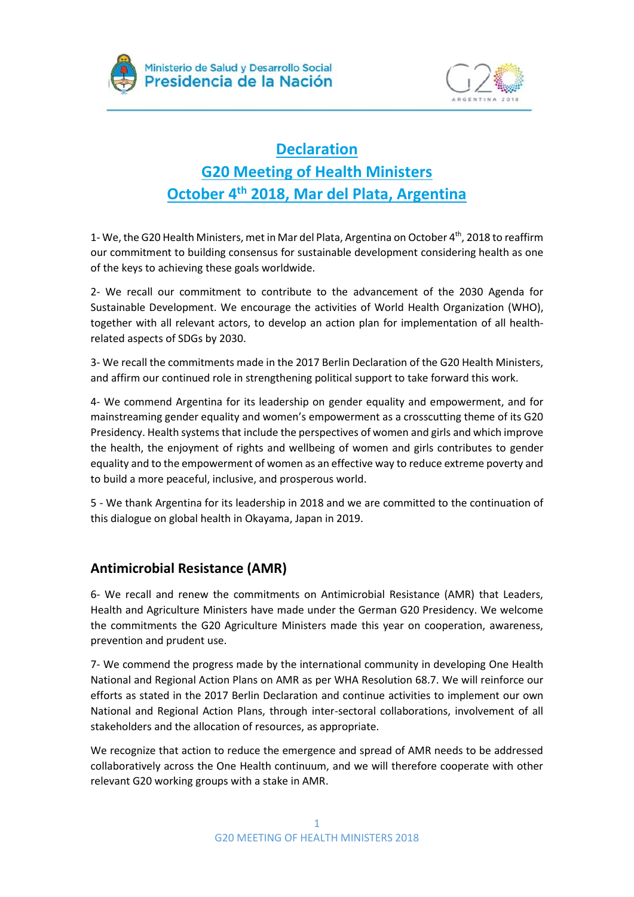



# **Declaration G20 Meeting of Health Ministers October 4 th 2018, Mar del Plata, Argentina**

1- We, the G20 Health Ministers, met in Mar del Plata, Argentina on October 4<sup>th</sup>, 2018 to reaffirm our commitment to building consensus for sustainable development considering health as one of the keys to achieving these goals worldwide.

2- We recall our commitment to contribute to the advancement of the 2030 Agenda for Sustainable Development. We encourage the activities of World Health Organization (WHO), together with all relevant actors, to develop an action plan for implementation of all healthrelated aspects of SDGs by 2030.

3- We recall the commitments made in the 2017 Berlin Declaration of the G20 Health Ministers, and affirm our continued role in strengthening political support to take forward this work.

4- We commend Argentina for its leadership on gender equality and empowerment, and for mainstreaming gender equality and women's empowerment as a crosscutting theme of its G20 Presidency. Health systems that include the perspectives of women and girls and which improve the health, the enjoyment of rights and wellbeing of women and girls contributes to gender equality and to the empowerment of women as an effective way to reduce extreme poverty and to build a more peaceful, inclusive, and prosperous world.

5 - We thank Argentina for its leadership in 2018 and we are committed to the continuation of this dialogue on global health in Okayama, Japan in 2019.

### **Antimicrobial Resistance (AMR)**

6- We recall and renew the commitments on Antimicrobial Resistance (AMR) that Leaders, Health and Agriculture Ministers have made under the German G20 Presidency. We welcome the commitments the G20 Agriculture Ministers made this year on cooperation, awareness, prevention and prudent use.

7- We commend the progress made by the international community in developing One Health National and Regional Action Plans on AMR as per WHA Resolution 68.7. We will reinforce our efforts as stated in the 2017 Berlin Declaration and continue activities to implement our own National and Regional Action Plans, through inter-sectoral collaborations, involvement of all stakeholders and the allocation of resources, as appropriate.

We recognize that action to reduce the emergence and spread of AMR needs to be addressed collaboratively across the One Health continuum, and we will therefore cooperate with other relevant G20 working groups with a stake in AMR.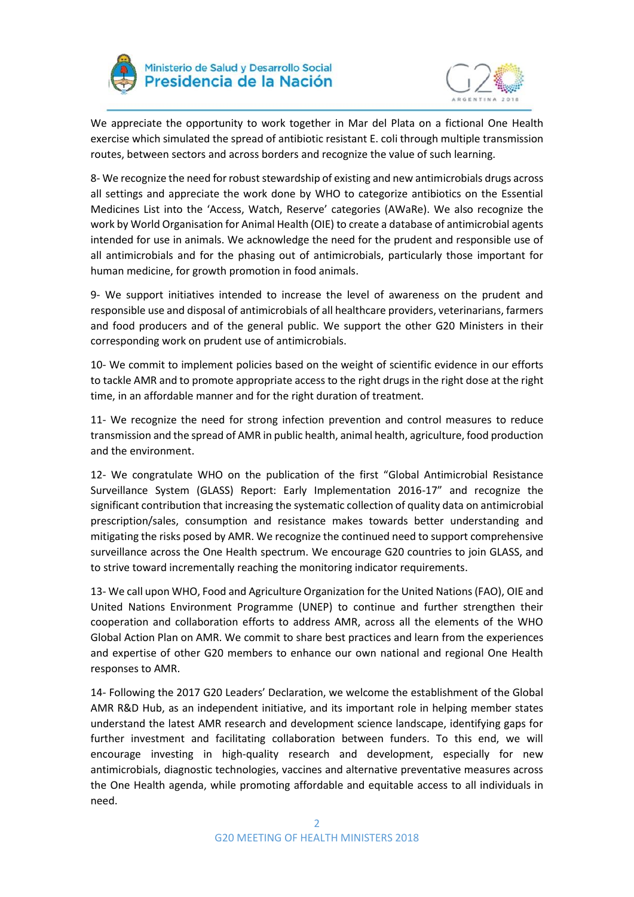



We appreciate the opportunity to work together in Mar del Plata on a fictional One Health exercise which simulated the spread of antibiotic resistant E. coli through multiple transmission routes, between sectors and across borders and recognize the value of such learning.

8- We recognize the need for robust stewardship of existing and new antimicrobials drugs across all settings and appreciate the work done by WHO to categorize antibiotics on the Essential Medicines List into the 'Access, Watch, Reserve' categories (AWaRe). We also recognize the work by World Organisation for Animal Health (OIE) to create a database of antimicrobial agents intended for use in animals. We acknowledge the need for the prudent and responsible use of all antimicrobials and for the phasing out of antimicrobials, particularly those important for human medicine, for growth promotion in food animals.

9- We support initiatives intended to increase the level of awareness on the prudent and responsible use and disposal of antimicrobials of all healthcare providers, veterinarians, farmers and food producers and of the general public. We support the other G20 Ministers in their corresponding work on prudent use of antimicrobials.

10- We commit to implement policies based on the weight of scientific evidence in our efforts to tackle AMR and to promote appropriate access to the right drugs in the right dose at the right time, in an affordable manner and for the right duration of treatment.

11- We recognize the need for strong infection prevention and control measures to reduce transmission and the spread of AMR in public health, animal health, agriculture, food production and the environment.

12- We congratulate WHO on the publication of the first "Global Antimicrobial Resistance Surveillance System (GLASS) Report: Early Implementation 2016-17" and recognize the significant contribution that increasing the systematic collection of quality data on antimicrobial prescription/sales, consumption and resistance makes towards better understanding and mitigating the risks posed by AMR. We recognize the continued need to support comprehensive surveillance across the One Health spectrum. We encourage G20 countries to join GLASS, and to strive toward incrementally reaching the monitoring indicator requirements.

13- We call upon WHO, Food and Agriculture Organization for the United Nations (FAO), OIE and United Nations Environment Programme (UNEP) to continue and further strengthen their cooperation and collaboration efforts to address AMR, across all the elements of the WHO Global Action Plan on AMR. We commit to share best practices and learn from the experiences and expertise of other G20 members to enhance our own national and regional One Health responses to AMR.

14- Following the 2017 G20 Leaders' Declaration, we welcome the establishment of the Global AMR R&D Hub, as an independent initiative, and its important role in helping member states understand the latest AMR research and development science landscape, identifying gaps for further investment and facilitating collaboration between funders. To this end, we will encourage investing in high-quality research and development, especially for new antimicrobials, diagnostic technologies, vaccines and alternative preventative measures across the One Health agenda, while promoting affordable and equitable access to all individuals in need.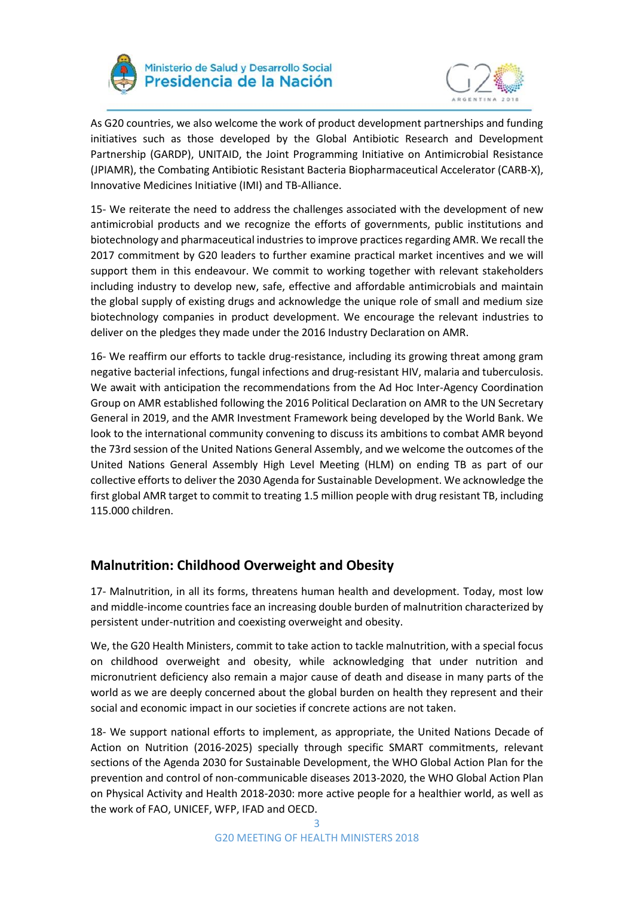



As G20 countries, we also welcome the work of product development partnerships and funding initiatives such as those developed by the Global Antibiotic Research and Development Partnership (GARDP), UNITAID, the Joint Programming Initiative on Antimicrobial Resistance (JPIAMR), the Combating Antibiotic Resistant Bacteria Biopharmaceutical Accelerator (CARB-X), Innovative Medicines Initiative (IMI) and TB-Alliance.

15- We reiterate the need to address the challenges associated with the development of new antimicrobial products and we recognize the efforts of governments, public institutions and biotechnology and pharmaceutical industries to improve practices regarding AMR. We recall the 2017 commitment by G20 leaders to further examine practical market incentives and we will support them in this endeavour. We commit to working together with relevant stakeholders including industry to develop new, safe, effective and affordable antimicrobials and maintain the global supply of existing drugs and acknowledge the unique role of small and medium size biotechnology companies in product development. We encourage the relevant industries to deliver on the pledges they made under the 2016 Industry Declaration on AMR.

16- We reaffirm our efforts to tackle drug-resistance, including its growing threat among gram negative bacterial infections, fungal infections and drug-resistant HIV, malaria and tuberculosis. We await with anticipation the recommendations from the Ad Hoc Inter-Agency Coordination Group on AMR established following the 2016 Political Declaration on AMR to the UN Secretary General in 2019, and the AMR Investment Framework being developed by the World Bank. We look to the international community convening to discuss its ambitions to combat AMR beyond the 73rd session of the United Nations General Assembly, and we welcome the outcomes of the United Nations General Assembly High Level Meeting (HLM) on ending TB as part of our collective efforts to deliver the 2030 Agenda for Sustainable Development. We acknowledge the first global AMR target to commit to treating 1.5 million people with drug resistant TB, including 115.000 children.

### **Malnutrition: Childhood Overweight and Obesity**

17- Malnutrition, in all its forms, threatens human health and development. Today, most low and middle-income countries face an increasing double burden of malnutrition characterized by persistent under-nutrition and coexisting overweight and obesity.

We, the G20 Health Ministers, commit to take action to tackle malnutrition, with a special focus on childhood overweight and obesity, while acknowledging that under nutrition and micronutrient deficiency also remain a major cause of death and disease in many parts of the world as we are deeply concerned about the global burden on health they represent and their social and economic impact in our societies if concrete actions are not taken.

18- We support national efforts to implement, as appropriate, the United Nations Decade of Action on Nutrition (2016-2025) specially through specific SMART commitments, relevant sections of the Agenda 2030 for Sustainable Development, the WHO Global Action Plan for the prevention and control of non-communicable diseases 2013-2020, the WHO Global Action Plan on Physical Activity and Health 2018-2030: more active people for a healthier world, as well as the work of FAO, UNICEF, WFP, IFAD and OECD.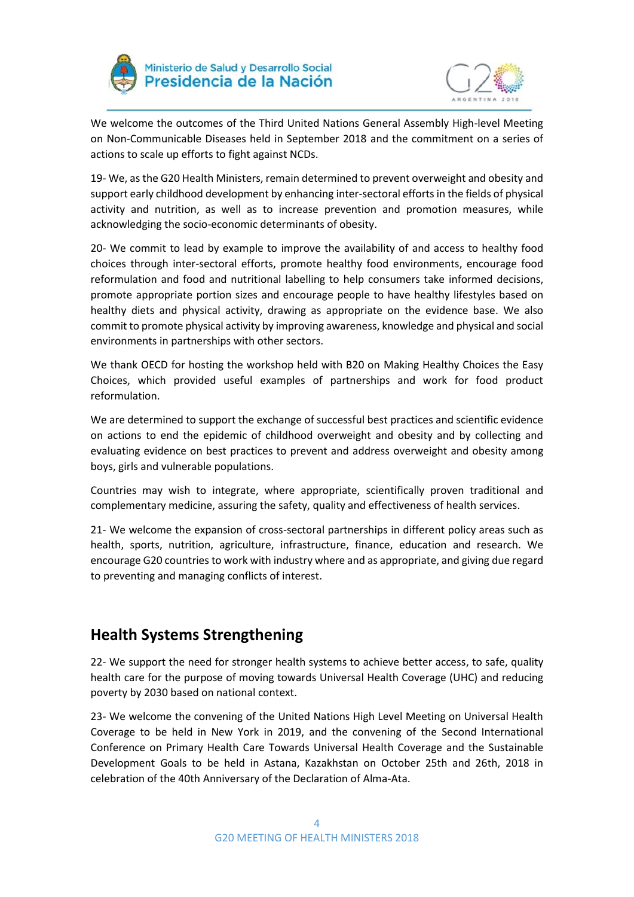



We welcome the outcomes of the Third United Nations General Assembly High-level Meeting on Non-Communicable Diseases held in September 2018 and the commitment on a series of actions to scale up efforts to fight against NCDs.

19- We, as the G20 Health Ministers, remain determined to prevent overweight and obesity and support early childhood development by enhancing inter-sectoral efforts in the fields of physical activity and nutrition, as well as to increase prevention and promotion measures, while acknowledging the socio-economic determinants of obesity.

20- We commit to lead by example to improve the availability of and access to healthy food choices through inter-sectoral efforts, promote healthy food environments, encourage food reformulation and food and nutritional labelling to help consumers take informed decisions, promote appropriate portion sizes and encourage people to have healthy lifestyles based on healthy diets and physical activity, drawing as appropriate on the evidence base. We also commit to promote physical activity by improving awareness, knowledge and physical and social environments in partnerships with other sectors.

We thank OECD for hosting the workshop held with B20 on Making Healthy Choices the Easy Choices, which provided useful examples of partnerships and work for food product reformulation.

We are determined to support the exchange of successful best practices and scientific evidence on actions to end the epidemic of childhood overweight and obesity and by collecting and evaluating evidence on best practices to prevent and address overweight and obesity among boys, girls and vulnerable populations.

Countries may wish to integrate, where appropriate, scientifically proven traditional and complementary medicine, assuring the safety, quality and effectiveness of health services.

21- We welcome the expansion of cross-sectoral partnerships in different policy areas such as health, sports, nutrition, agriculture, infrastructure, finance, education and research. We encourage G20 countries to work with industry where and as appropriate, and giving due regard to preventing and managing conflicts of interest.

### **Health Systems Strengthening**

22- We support the need for stronger health systems to achieve better access, to safe, quality health care for the purpose of moving towards Universal Health Coverage (UHC) and reducing poverty by 2030 based on national context.

23- We welcome the convening of the United Nations High Level Meeting on Universal Health Coverage to be held in New York in 2019, and the convening of the Second International Conference on Primary Health Care Towards Universal Health Coverage and the Sustainable Development Goals to be held in Astana, Kazakhstan on October 25th and 26th, 2018 in celebration of the 40th Anniversary of the Declaration of Alma-Ata.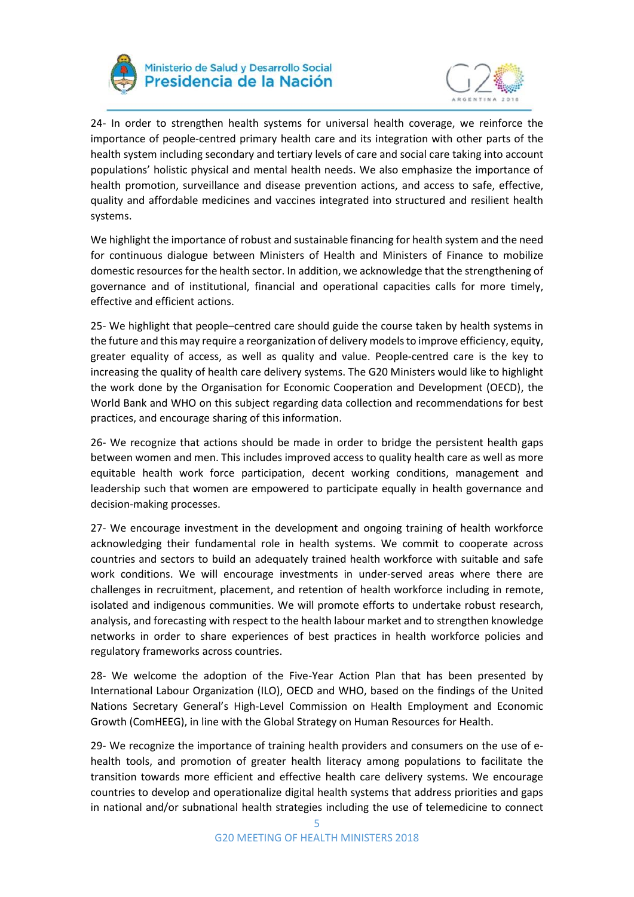

### Ministerio de Salud y Desarrollo Social Presidencia de la Nación



24- In order to strengthen health systems for universal health coverage, we reinforce the importance of people-centred primary health care and its integration with other parts of the health system including secondary and tertiary levels of care and social care taking into account populations' holistic physical and mental health needs. We also emphasize the importance of health promotion, surveillance and disease prevention actions, and access to safe, effective, quality and affordable medicines and vaccines integrated into structured and resilient health systems.

We highlight the importance of robust and sustainable financing for health system and the need for continuous dialogue between Ministers of Health and Ministers of Finance to mobilize domestic resources for the health sector. In addition, we acknowledge that the strengthening of governance and of institutional, financial and operational capacities calls for more timely, effective and efficient actions.

25- We highlight that people–centred care should guide the course taken by health systems in the future and this may require a reorganization of delivery models to improve efficiency, equity, greater equality of access, as well as quality and value. People-centred care is the key to increasing the quality of health care delivery systems. The G20 Ministers would like to highlight the work done by the Organisation for Economic Cooperation and Development (OECD), the World Bank and WHO on this subject regarding data collection and recommendations for best practices, and encourage sharing of this information.

26- We recognize that actions should be made in order to bridge the persistent health gaps between women and men. This includes improved access to quality health care as well as more equitable health work force participation, decent working conditions, management and leadership such that women are empowered to participate equally in health governance and decision-making processes.

27- We encourage investment in the development and ongoing training of health workforce acknowledging their fundamental role in health systems. We commit to cooperate across countries and sectors to build an adequately trained health workforce with suitable and safe work conditions. We will encourage investments in under-served areas where there are challenges in recruitment, placement, and retention of health workforce including in remote, isolated and indigenous communities. We will promote efforts to undertake robust research, analysis, and forecasting with respect to the health labour market and to strengthen knowledge networks in order to share experiences of best practices in health workforce policies and regulatory frameworks across countries.

28- We welcome the adoption of the Five-Year Action Plan that has been presented by International Labour Organization (ILO), OECD and WHO, based on the findings of the United Nations Secretary General's High-Level Commission on Health Employment and Economic Growth (ComHEEG), in line with the Global Strategy on Human Resources for Health.

29- We recognize the importance of training health providers and consumers on the use of ehealth tools, and promotion of greater health literacy among populations to facilitate the transition towards more efficient and effective health care delivery systems. We encourage countries to develop and operationalize digital health systems that address priorities and gaps in national and/or subnational health strategies including the use of telemedicine to connect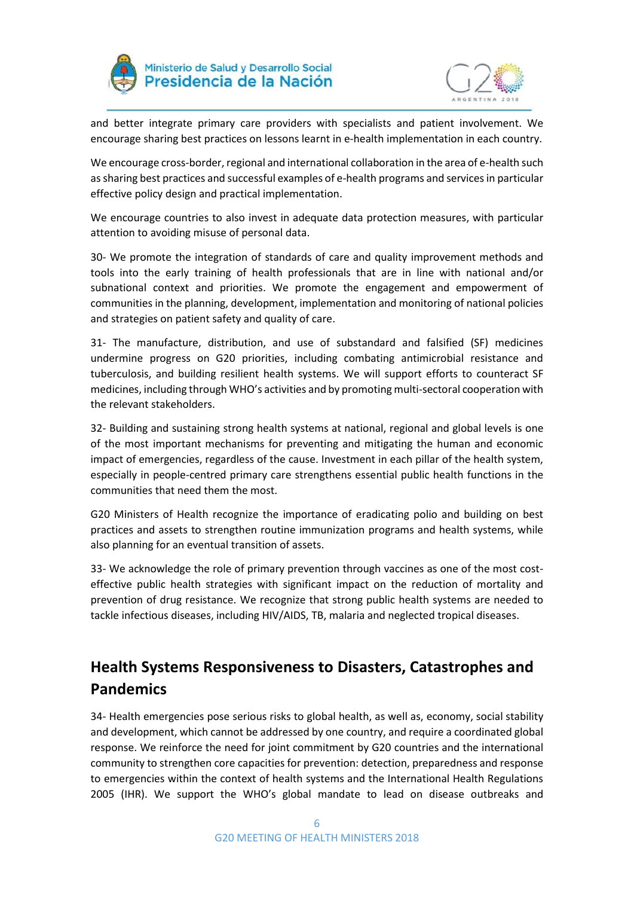



and better integrate primary care providers with specialists and patient involvement. We encourage sharing best practices on lessons learnt in e-health implementation in each country.

We encourage cross-border, regional and international collaboration in the area of e-health such as sharing best practices and successful examples of e-health programs and services in particular effective policy design and practical implementation.

We encourage countries to also invest in adequate data protection measures, with particular attention to avoiding misuse of personal data.

30- We promote the integration of standards of care and quality improvement methods and tools into the early training of health professionals that are in line with national and/or subnational context and priorities. We promote the engagement and empowerment of communities in the planning, development, implementation and monitoring of national policies and strategies on patient safety and quality of care.

31- The manufacture, distribution, and use of substandard and falsified (SF) medicines undermine progress on G20 priorities, including combating antimicrobial resistance and tuberculosis, and building resilient health systems. We will support efforts to counteract SF medicines, including through WHO's activities and by promoting multi-sectoral cooperation with the relevant stakeholders.

32- Building and sustaining strong health systems at national, regional and global levels is one of the most important mechanisms for preventing and mitigating the human and economic impact of emergencies, regardless of the cause. Investment in each pillar of the health system, especially in people-centred primary care strengthens essential public health functions in the communities that need them the most.

G20 Ministers of Health recognize the importance of eradicating polio and building on best practices and assets to strengthen routine immunization programs and health systems, while also planning for an eventual transition of assets.

33- We acknowledge the role of primary prevention through vaccines as one of the most costeffective public health strategies with significant impact on the reduction of mortality and prevention of drug resistance. We recognize that strong public health systems are needed to tackle infectious diseases, including HIV/AIDS, TB, malaria and neglected tropical diseases.

## **Health Systems Responsiveness to Disasters, Catastrophes and Pandemics**

34- Health emergencies pose serious risks to global health, as well as, economy, social stability and development, which cannot be addressed by one country, and require a coordinated global response. We reinforce the need for joint commitment by G20 countries and the international community to strengthen core capacities for prevention: detection, preparedness and response to emergencies within the context of health systems and the International Health Regulations 2005 (IHR). We support the WHO's global mandate to lead on disease outbreaks and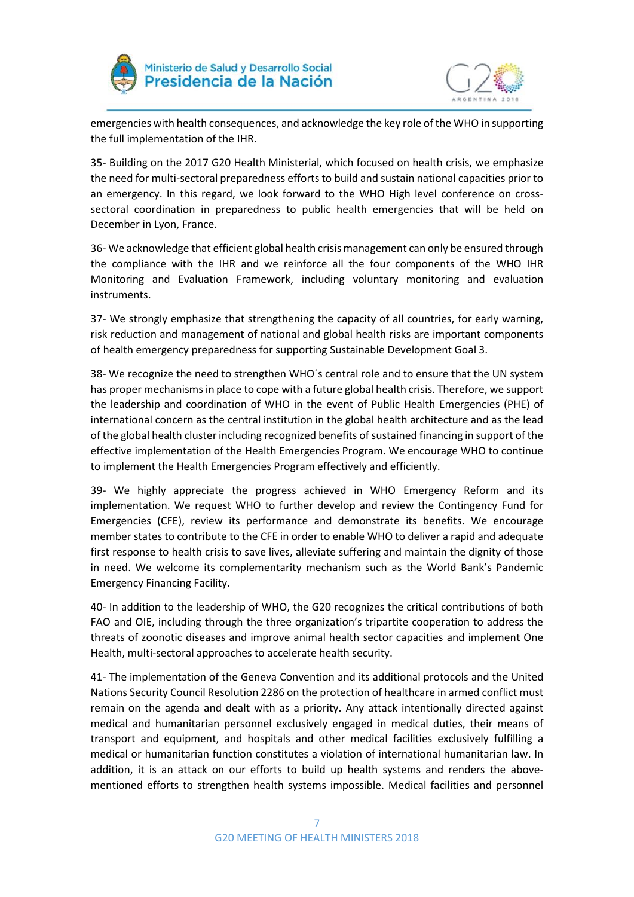



emergencies with health consequences, and acknowledge the key role of the WHO in supporting the full implementation of the IHR.

35- Building on the 2017 G20 Health Ministerial, which focused on health crisis, we emphasize the need for multi-sectoral preparedness efforts to build and sustain national capacities prior to an emergency. In this regard, we look forward to the WHO High level conference on crosssectoral coordination in preparedness to public health emergencies that will be held on December in Lyon, France.

36- We acknowledge that efficient global health crisis management can only be ensured through the compliance with the IHR and we reinforce all the four components of the WHO IHR Monitoring and Evaluation Framework, including voluntary monitoring and evaluation instruments.

37- We strongly emphasize that strengthening the capacity of all countries, for early warning, risk reduction and management of national and global health risks are important components of health emergency preparedness for supporting Sustainable Development Goal 3.

38- We recognize the need to strengthen WHO´s central role and to ensure that the UN system has proper mechanisms in place to cope with a future global health crisis. Therefore, we support the leadership and coordination of WHO in the event of Public Health Emergencies (PHE) of international concern as the central institution in the global health architecture and as the lead of the global health cluster including recognized benefits of sustained financing in support of the effective implementation of the Health Emergencies Program. We encourage WHO to continue to implement the Health Emergencies Program effectively and efficiently.

39- We highly appreciate the progress achieved in WHO Emergency Reform and its implementation. We request WHO to further develop and review the Contingency Fund for Emergencies (CFE), review its performance and demonstrate its benefits. We encourage member states to contribute to the CFE in order to enable WHO to deliver a rapid and adequate first response to health crisis to save lives, alleviate suffering and maintain the dignity of those in need. We welcome its complementarity mechanism such as the World Bank's Pandemic Emergency Financing Facility.

40- In addition to the leadership of WHO, the G20 recognizes the critical contributions of both FAO and OIE, including through the three organization's tripartite cooperation to address the threats of zoonotic diseases and improve animal health sector capacities and implement One Health, multi-sectoral approaches to accelerate health security.

41- The implementation of the Geneva Convention and its additional protocols and the United Nations Security Council Resolution 2286 on the protection of healthcare in armed conflict must remain on the agenda and dealt with as a priority. Any attack intentionally directed against medical and humanitarian personnel exclusively engaged in medical duties, their means of transport and equipment, and hospitals and other medical facilities exclusively fulfilling a medical or humanitarian function constitutes a violation of international humanitarian law. In addition, it is an attack on our efforts to build up health systems and renders the abovementioned efforts to strengthen health systems impossible. Medical facilities and personnel